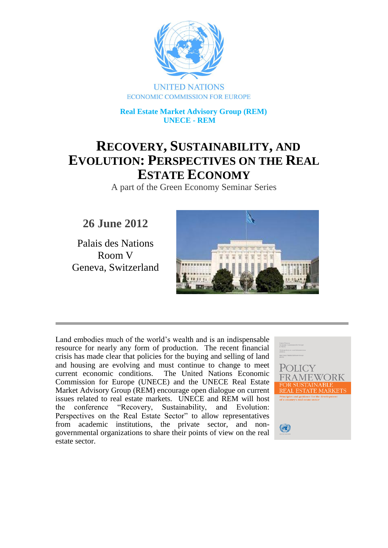

 **Real Estate Market Advisory Group (REM) UNECE - REM**

# **RECOVERY, SUSTAINABILITY, AND EVOLUTION: PERSPECTIVES ON THE REAL ESTATE ECONOMY**

A part of the Green Economy Seminar Series

**26 June 2012**

Palais des Nations Room V Geneva, Switzerland



Land embodies much of the world's wealth and is an indispensable resource for nearly any form of production. The recent financial crisis has made clear that policies for the buying and selling of land and housing are evolving and must continue to change to meet current economic conditions. The United Nations Economic Commission for Europe (UNECE) and the UNECE Real Estate Market Advisory Group (REM) encourage open dialogue on current issues related to real estate markets. UNECE and REM will host the conference "Recovery, Sustainability, and Evolution: Perspectives on the Real Estate Sector" to allow representatives from academic institutions, the private sector, and nongovernmental organizations to share their points of view on the real estate sector.

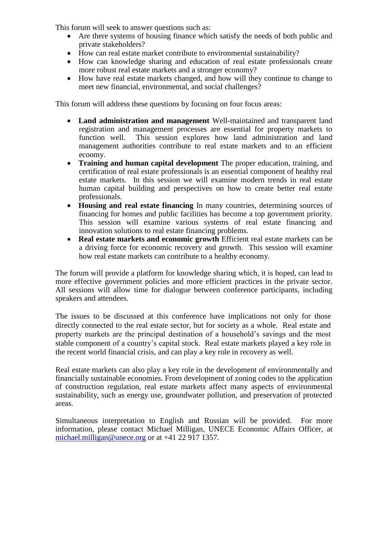This forum will seek to answer questions such as:

- Are there systems of housing finance which satisfy the needs of both public and private stakeholders?
- How can real estate market contribute to environmental sustainability?
- How can knowledge sharing and education of real estate professionals create more robust real estate markets and a stronger economy?
- How have real estate markets changed, and how will they continue to change to meet new financial, environmental, and social challenges?

This forum will address these questions by focusing on four focus areas:

- **Land administration and management** Well-maintained and transparent land registration and management processes are essential for property markets to function well. This session explores how land administration and land management authorities contribute to real estate markets and to an efficient ecoomy.
- **Training and human capital development** The proper education, training, and certification of real estate professionals is an essential component of healthy real estate markets. In this session we will examine modern trends in real estate human capital building and perspectives on how to create better real estate professionals.
- **Housing and real estate financing** In many countries, determining sources of financing for homes and public facilities has become a top government priority. This session will examine various systems of real estate financing and innovation solutions to real estate financing problems.
- **Real estate markets and economic growth** Efficient real estate markets can be a driving force for economic recovery and growth. This session will examine how real estate markets can contribute to a healthy economy.

The forum will provide a platform for knowledge sharing which, it is hoped, can lead to more effective government policies and more efficient practices in the private sector. All sessions will allow time for dialogue between conference participants, including speakers and attendees.

The issues to be discussed at this conference have implications not only for those directly connected to the real estate sector, but for society as a whole. Real estate and property markets are the principal destination of a household's savings and the most stable component of a country's capital stock. Real estate markets played a key role in the recent world financial crisis, and can play a key role in recovery as well.

Real estate markets can also play a key role in the development of environmentally and financially sustainable economies. From development of zoning codes to the application of construction regulation, real estate markets affect many aspects of environmental sustainability, such as energy use, groundwater pollution, and preservation of protected areas.

Simultaneous interpretation to English and Russian will be provided. For more information, please contact Michael Milligan, UNECE Economic Affairs Officer, at [michael.milligan@unece.org](mailto:michael.milligan@unece.org) or at +41 22 917 1357.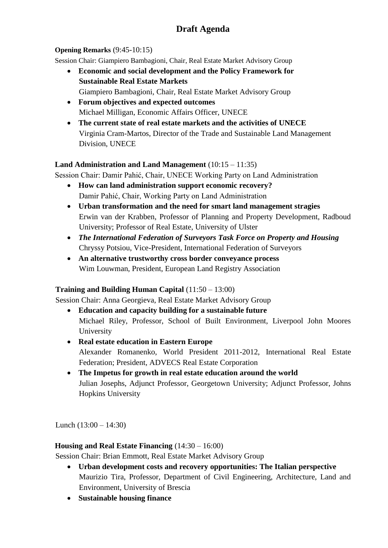# **Draft Agenda**

#### **Opening Remarks** (9:45-10:15)

Session Chair: Giampiero Bambagioni, Chair, Real Estate Market Advisory Group

- **Economic and social development and the Policy Framework for Sustainable Real Estate Markets** Giampiero Bambagioni, Chair, Real Estate Market Advisory Group
- **Forum objectives and expected outcomes** Michael Milligan, Economic Affairs Officer, UNECE
- **The current state of real estate markets and the activities of UNECE** Virginia Cram-Martos, Director of the Trade and Sustainable Land Management Division, UNECE

#### **Land Administration and Land Management** (10:15 – 11:35)

Session Chair: Damir Pahić, Chair, UNECE Working Party on Land Administration

- **How can land administration support economic recovery?** Damir Pahić, Chair, Working Party on Land Administration
- **Urban transformation and the need for smart land management stragies** Erwin van der Krabben, Professor of Planning and Property Development, Radboud University; Professor of Real Estate, University of Ulster
- *The International Federation of Surveyors Task Force on Property and Housing* Chryssy Potsiou, Vice-President, International Federation of Surveyors
- **An alternative trustworthy cross border conveyance process** Wim Louwman, President, European Land Registry Association

#### **Training and Building Human Capital** (11:50 – 13:00)

Session Chair: Anna Georgieva, Real Estate Market Advisory Group

- **Education and capacity building for a sustainable future** Michael Riley, Professor, School of Built Environment, Liverpool John Moores University
- **Real estate education in Eastern Europe** Alexander Romanenko, World President 2011-2012, International Real Estate Federation; President, ADVECS Real Estate Corporation
- **The Impetus for growth in real estate education around the world** Julian Josephs, Adjunct Professor, Georgetown University; Adjunct Professor, Johns Hopkins University

Lunch (13:00 – 14:30)

#### **Housing and Real Estate Financing** (14:30 – 16:00)

Session Chair: Brian Emmott, Real Estate Market Advisory Group

- **Urban development costs and recovery opportunities: The Italian perspective** Maurizio Tira, Professor, Department of Civil Engineering, Architecture, Land and Environment, University of Brescia
- **Sustainable housing finance**